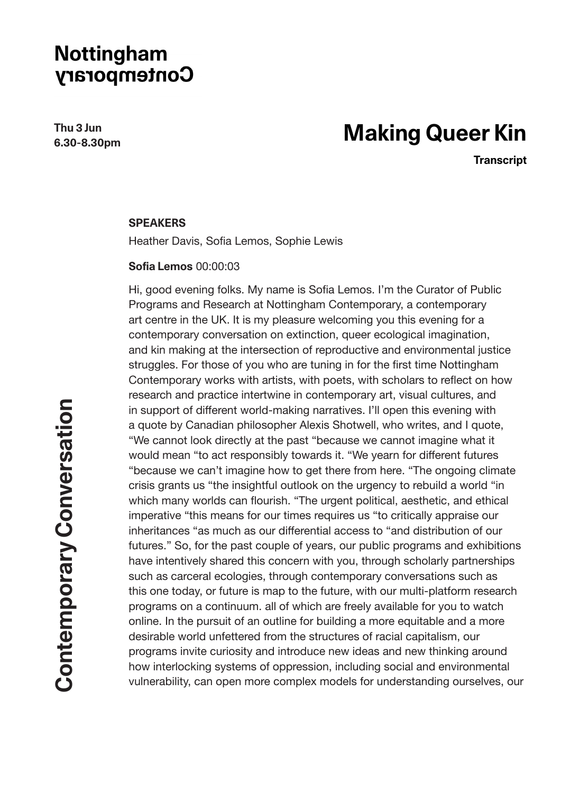**Thu 3 Jun 6.30-8.30pm**

# **Making Queer Kin**

**Transcript**

#### **SPEAKERS**

Heather Davis, Sofia Lemos, Sophie Lewis

#### **Sofia Lemos** 00:00:03

Hi, good evening folks. My name is Sofia Lemos. I'm the Curator of Public Programs and Research at Nottingham Contemporary, a contemporary art centre in the UK. It is my pleasure welcoming you this evening for a contemporary conversation on extinction, queer ecological imagination, and kin making at the intersection of reproductive and environmental justice struggles. For those of you who are tuning in for the first time Nottingham Contemporary works with artists, with poets, with scholars to reflect on how research and practice intertwine in contemporary art, visual cultures, and in support of different world-making narratives. I'll open this evening with a quote by Canadian philosopher Alexis Shotwell, who writes, and I quote, "We cannot look directly at the past "because we cannot imagine what it would mean "to act responsibly towards it. "We yearn for different futures "because we can't imagine how to get there from here. "The ongoing climate crisis grants us "the insightful outlook on the urgency to rebuild a world "in which many worlds can flourish. "The urgent political, aesthetic, and ethical imperative "this means for our times requires us "to critically appraise our inheritances "as much as our differential access to "and distribution of our futures." So, for the past couple of years, our public programs and exhibitions have intentively shared this concern with you, through scholarly partnerships such as carceral ecologies, through contemporary conversations such as this one today, or future is map to the future, with our multi-platform research programs on a continuum. all of which are freely available for you to watch online. In the pursuit of an outline for building a more equitable and a more desirable world unfettered from the structures of racial capitalism, our programs invite curiosity and introduce new ideas and new thinking around how interlocking systems of oppression, including social and environmental vulnerability, can open more complex models for understanding ourselves, our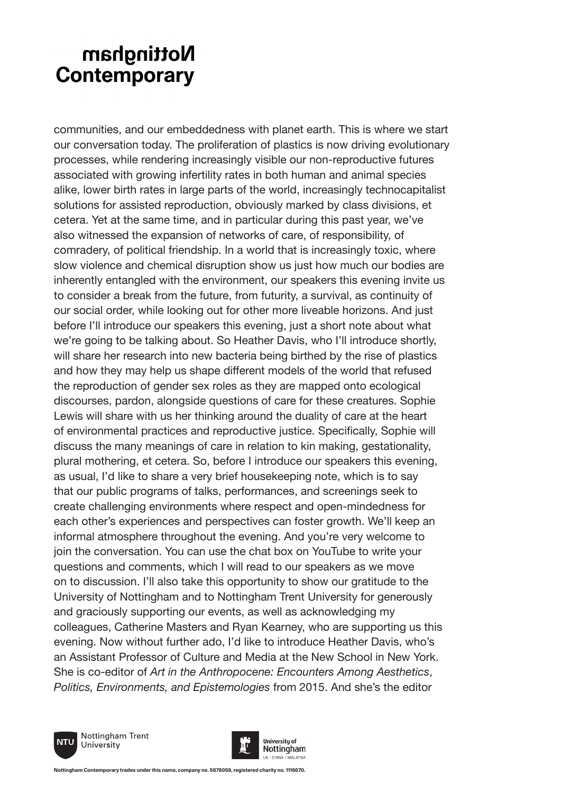communities, and our embeddedness with planet earth. This is where we start our conversation today. The proliferation of plastics is now driving evolutionary processes, while rendering increasingly visible our non-reproductive futures associated with growing infertility rates in both human and animal species alike, lower birth rates in large parts of the world, increasingly technocapitalist solutions for assisted reproduction, obviously marked by class divisions, et cetera. Yet at the same time, and in particular during this past year, we've also witnessed the expansion of networks of care, of responsibility, of comradery, of political friendship. In a world that is increasingly toxic, where slow violence and chemical disruption show us just how much our bodies are inherently entangled with the environment, our speakers this evening invite us to consider a break from the future, from futurity, a survival, as continuity of our social order, while looking out for other more liveable horizons. And just before I'll introduce our speakers this evening, just a short note about what we're going to be talking about. So Heather Davis, who I'll introduce shortly, will share her research into new bacteria being birthed by the rise of plastics and how they may help us shape different models of the world that refused the reproduction of gender sex roles as they are mapped onto ecological discourses, pardon, alongside questions of care for these creatures. Sophie Lewis will share with us her thinking around the duality of care at the heart of environmental practices and reproductive justice. Specifically, Sophie will discuss the many meanings of care in relation to kin making, gestationality, plural mothering, et cetera. So, before I introduce our speakers this evening, as usual, I'd like to share a very brief housekeeping note, which is to say that our public programs of talks, performances, and screenings seek to create challenging environments where respect and open-mindedness for each other's experiences and perspectives can foster growth. We'll keep an informal atmosphere throughout the evening. And you're very welcome to join the conversation. You can use the chat box on YouTube to write your questions and comments, which I will read to our speakers as we move on to discussion. I'll also take this opportunity to show our gratitude to the University of Nottingham and to Nottingham Trent University for generously and graciously supporting our events, as well as acknowledging my colleagues, Catherine Masters and Ryan Kearney, who are supporting us this evening. Now without further ado, I'd like to introduce Heather Davis, who's an Assistant Professor of Culture and Media at the New School in New York. She is co-editor of *Art in the Anthropocene: Encounters Among Aesthetics*, *Politics, Environments, and Epistemologies* from 2015. And she's the editor



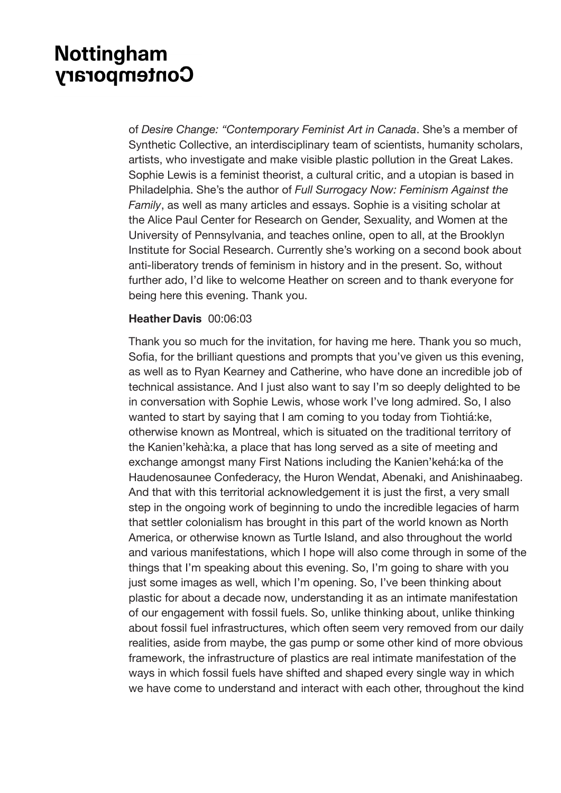of *Desire Change: "Contemporary Feminist Art in Canada*. She's a member of Synthetic Collective, an interdisciplinary team of scientists, humanity scholars, artists, who investigate and make visible plastic pollution in the Great Lakes. Sophie Lewis is a feminist theorist, a cultural critic, and a utopian is based in Philadelphia. She's the author of *Full Surrogacy Now: Feminism Against the Family*, as well as many articles and essays. Sophie is a visiting scholar at the Alice Paul Center for Research on Gender, Sexuality, and Women at the University of Pennsylvania, and teaches online, open to all, at the Brooklyn Institute for Social Research. Currently she's working on a second book about anti-liberatory trends of feminism in history and in the present. So, without further ado, I'd like to welcome Heather on screen and to thank everyone for being here this evening. Thank you.

#### **Heather Davis** 00:06:03

Thank you so much for the invitation, for having me here. Thank you so much, Sofia, for the brilliant questions and prompts that you've given us this evening, as well as to Ryan Kearney and Catherine, who have done an incredible job of technical assistance. And I just also want to say I'm so deeply delighted to be in conversation with Sophie Lewis, whose work I've long admired. So, I also wanted to start by saying that I am coming to you today from Tiohtiá:ke, otherwise known as Montreal, which is situated on the traditional territory of the Kanien'kehà:ka, a place that has long served as a site of meeting and exchange amongst many First Nations including the Kanien'kehá:ka of the Haudenosaunee Confederacy, the Huron Wendat, Abenaki, and Anishinaabeg. And that with this territorial acknowledgement it is just the first, a very small step in the ongoing work of beginning to undo the incredible legacies of harm that settler colonialism has brought in this part of the world known as North America, or otherwise known as Turtle Island, and also throughout the world and various manifestations, which I hope will also come through in some of the things that I'm speaking about this evening. So, I'm going to share with you just some images as well, which I'm opening. So, I've been thinking about plastic for about a decade now, understanding it as an intimate manifestation of our engagement with fossil fuels. So, unlike thinking about, unlike thinking about fossil fuel infrastructures, which often seem very removed from our daily realities, aside from maybe, the gas pump or some other kind of more obvious framework, the infrastructure of plastics are real intimate manifestation of the ways in which fossil fuels have shifted and shaped every single way in which we have come to understand and interact with each other, throughout the kind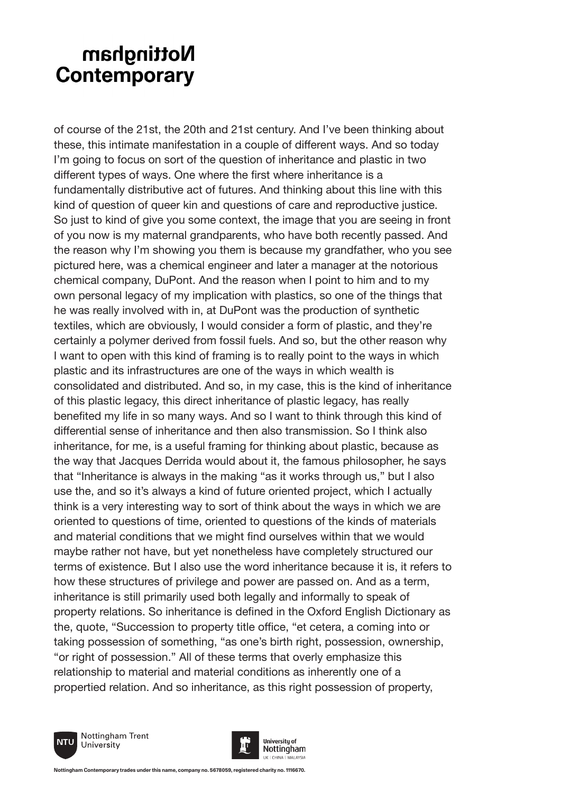of course of the 21st, the 20th and 21st century. And I've been thinking about these, this intimate manifestation in a couple of different ways. And so today I'm going to focus on sort of the question of inheritance and plastic in two different types of ways. One where the first where inheritance is a fundamentally distributive act of futures. And thinking about this line with this kind of question of queer kin and questions of care and reproductive justice. So just to kind of give you some context, the image that you are seeing in front of you now is my maternal grandparents, who have both recently passed. And the reason why I'm showing you them is because my grandfather, who you see pictured here, was a chemical engineer and later a manager at the notorious chemical company, DuPont. And the reason when I point to him and to my own personal legacy of my implication with plastics, so one of the things that he was really involved with in, at DuPont was the production of synthetic textiles, which are obviously, I would consider a form of plastic, and they're certainly a polymer derived from fossil fuels. And so, but the other reason why I want to open with this kind of framing is to really point to the ways in which plastic and its infrastructures are one of the ways in which wealth is consolidated and distributed. And so, in my case, this is the kind of inheritance of this plastic legacy, this direct inheritance of plastic legacy, has really benefited my life in so many ways. And so I want to think through this kind of differential sense of inheritance and then also transmission. So I think also inheritance, for me, is a useful framing for thinking about plastic, because as the way that Jacques Derrida would about it, the famous philosopher, he says that "Inheritance is always in the making "as it works through us," but I also use the, and so it's always a kind of future oriented project, which I actually think is a very interesting way to sort of think about the ways in which we are oriented to questions of time, oriented to questions of the kinds of materials and material conditions that we might find ourselves within that we would maybe rather not have, but yet nonetheless have completely structured our terms of existence. But I also use the word inheritance because it is, it refers to how these structures of privilege and power are passed on. And as a term, inheritance is still primarily used both legally and informally to speak of property relations. So inheritance is defined in the Oxford English Dictionary as the, quote, "Succession to property title office, "et cetera, a coming into or taking possession of something, "as one's birth right, possession, ownership, "or right of possession." All of these terms that overly emphasize this relationship to material and material conditions as inherently one of a propertied relation. And so inheritance, as this right possession of property,





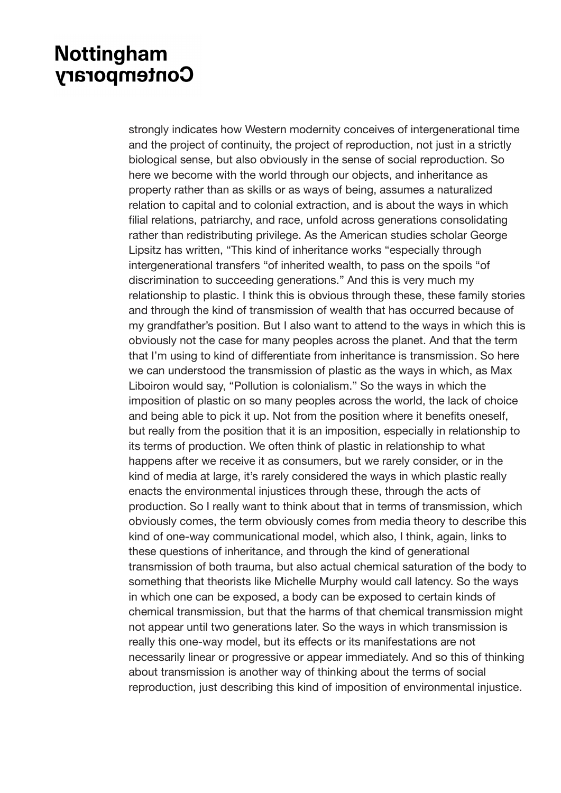strongly indicates how Western modernity conceives of intergenerational time and the project of continuity, the project of reproduction, not just in a strictly biological sense, but also obviously in the sense of social reproduction. So here we become with the world through our objects, and inheritance as property rather than as skills or as ways of being, assumes a naturalized relation to capital and to colonial extraction, and is about the ways in which filial relations, patriarchy, and race, unfold across generations consolidating rather than redistributing privilege. As the American studies scholar George Lipsitz has written, "This kind of inheritance works "especially through intergenerational transfers "of inherited wealth, to pass on the spoils "of discrimination to succeeding generations." And this is very much my relationship to plastic. I think this is obvious through these, these family stories and through the kind of transmission of wealth that has occurred because of my grandfather's position. But I also want to attend to the ways in which this is obviously not the case for many peoples across the planet. And that the term that I'm using to kind of differentiate from inheritance is transmission. So here we can understood the transmission of plastic as the ways in which, as Max Liboiron would say, "Pollution is colonialism." So the ways in which the imposition of plastic on so many peoples across the world, the lack of choice and being able to pick it up. Not from the position where it benefits oneself, but really from the position that it is an imposition, especially in relationship to its terms of production. We often think of plastic in relationship to what happens after we receive it as consumers, but we rarely consider, or in the kind of media at large, it's rarely considered the ways in which plastic really enacts the environmental injustices through these, through the acts of production. So I really want to think about that in terms of transmission, which obviously comes, the term obviously comes from media theory to describe this kind of one-way communicational model, which also, I think, again, links to these questions of inheritance, and through the kind of generational transmission of both trauma, but also actual chemical saturation of the body to something that theorists like Michelle Murphy would call latency. So the ways in which one can be exposed, a body can be exposed to certain kinds of chemical transmission, but that the harms of that chemical transmission might not appear until two generations later. So the ways in which transmission is really this one-way model, but its effects or its manifestations are not necessarily linear or progressive or appear immediately. And so this of thinking about transmission is another way of thinking about the terms of social reproduction, just describing this kind of imposition of environmental injustice.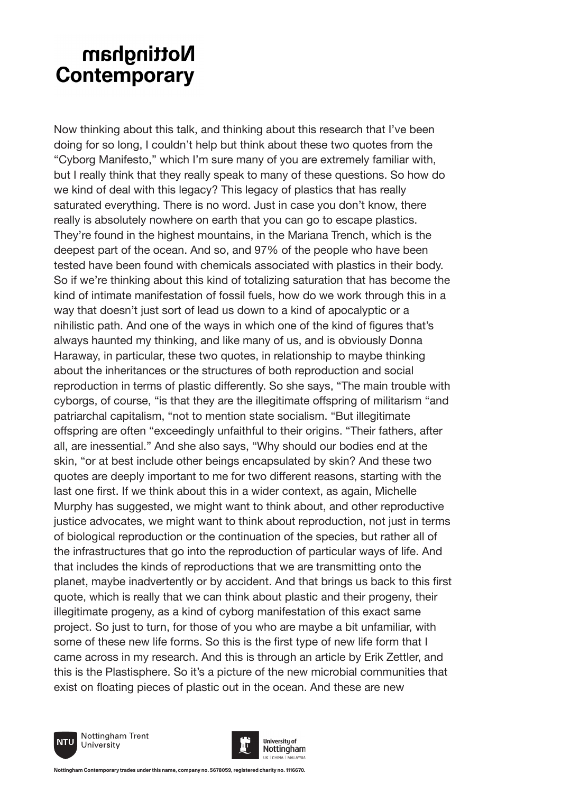Now thinking about this talk, and thinking about this research that I've been doing for so long, I couldn't help but think about these two quotes from the "Cyborg Manifesto," which I'm sure many of you are extremely familiar with, but I really think that they really speak to many of these questions. So how do we kind of deal with this legacy? This legacy of plastics that has really saturated everything. There is no word. Just in case you don't know, there really is absolutely nowhere on earth that you can go to escape plastics. They're found in the highest mountains, in the Mariana Trench, which is the deepest part of the ocean. And so, and 97% of the people who have been tested have been found with chemicals associated with plastics in their body. So if we're thinking about this kind of totalizing saturation that has become the kind of intimate manifestation of fossil fuels, how do we work through this in a way that doesn't just sort of lead us down to a kind of apocalyptic or a nihilistic path. And one of the ways in which one of the kind of figures that's always haunted my thinking, and like many of us, and is obviously Donna Haraway, in particular, these two quotes, in relationship to maybe thinking about the inheritances or the structures of both reproduction and social reproduction in terms of plastic differently. So she says, "The main trouble with cyborgs, of course, "is that they are the illegitimate offspring of militarism "and patriarchal capitalism, "not to mention state socialism. "But illegitimate offspring are often "exceedingly unfaithful to their origins. "Their fathers, after all, are inessential." And she also says, "Why should our bodies end at the skin, "or at best include other beings encapsulated by skin? And these two quotes are deeply important to me for two different reasons, starting with the last one first. If we think about this in a wider context, as again, Michelle Murphy has suggested, we might want to think about, and other reproductive justice advocates, we might want to think about reproduction, not just in terms of biological reproduction or the continuation of the species, but rather all of the infrastructures that go into the reproduction of particular ways of life. And that includes the kinds of reproductions that we are transmitting onto the planet, maybe inadvertently or by accident. And that brings us back to this first quote, which is really that we can think about plastic and their progeny, their illegitimate progeny, as a kind of cyborg manifestation of this exact same project. So just to turn, for those of you who are maybe a bit unfamiliar, with some of these new life forms. So this is the first type of new life form that I came across in my research. And this is through an article by Erik Zettler, and this is the Plastisphere. So it's a picture of the new microbial communities that exist on floating pieces of plastic out in the ocean. And these are new



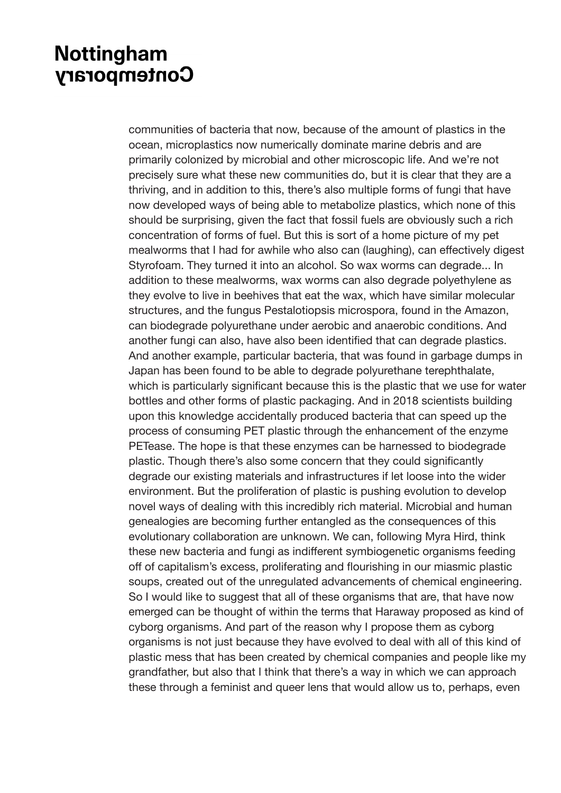communities of bacteria that now, because of the amount of plastics in the ocean, microplastics now numerically dominate marine debris and are primarily colonized by microbial and other microscopic life. And we're not precisely sure what these new communities do, but it is clear that they are a thriving, and in addition to this, there's also multiple forms of fungi that have now developed ways of being able to metabolize plastics, which none of this should be surprising, given the fact that fossil fuels are obviously such a rich concentration of forms of fuel. But this is sort of a home picture of my pet mealworms that I had for awhile who also can (laughing), can effectively digest Styrofoam. They turned it into an alcohol. So wax worms can degrade... In addition to these mealworms, wax worms can also degrade polyethylene as they evolve to live in beehives that eat the wax, which have similar molecular structures, and the fungus Pestalotiopsis microspora, found in the Amazon, can biodegrade polyurethane under aerobic and anaerobic conditions. And another fungi can also, have also been identified that can degrade plastics. And another example, particular bacteria, that was found in garbage dumps in Japan has been found to be able to degrade polyurethane terephthalate, which is particularly significant because this is the plastic that we use for water bottles and other forms of plastic packaging. And in 2018 scientists building upon this knowledge accidentally produced bacteria that can speed up the process of consuming PET plastic through the enhancement of the enzyme PETease. The hope is that these enzymes can be harnessed to biodegrade plastic. Though there's also some concern that they could significantly degrade our existing materials and infrastructures if let loose into the wider environment. But the proliferation of plastic is pushing evolution to develop novel ways of dealing with this incredibly rich material. Microbial and human genealogies are becoming further entangled as the consequences of this evolutionary collaboration are unknown. We can, following Myra Hird, think these new bacteria and fungi as indifferent symbiogenetic organisms feeding off of capitalism's excess, proliferating and flourishing in our miasmic plastic soups, created out of the unregulated advancements of chemical engineering. So I would like to suggest that all of these organisms that are, that have now emerged can be thought of within the terms that Haraway proposed as kind of cyborg organisms. And part of the reason why I propose them as cyborg organisms is not just because they have evolved to deal with all of this kind of plastic mess that has been created by chemical companies and people like my grandfather, but also that I think that there's a way in which we can approach these through a feminist and queer lens that would allow us to, perhaps, even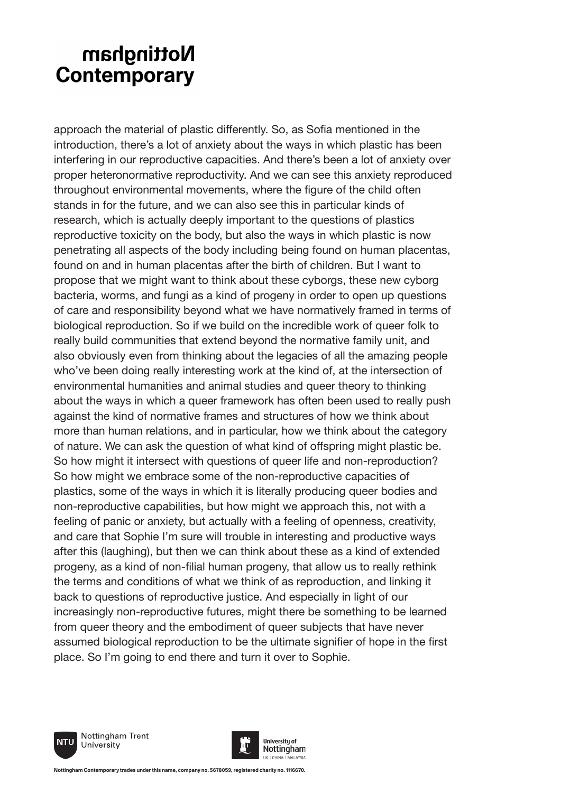approach the material of plastic differently. So, as Sofia mentioned in the introduction, there's a lot of anxiety about the ways in which plastic has been interfering in our reproductive capacities. And there's been a lot of anxiety over proper heteronormative reproductivity. And we can see this anxiety reproduced throughout environmental movements, where the figure of the child often stands in for the future, and we can also see this in particular kinds of research, which is actually deeply important to the questions of plastics reproductive toxicity on the body, but also the ways in which plastic is now penetrating all aspects of the body including being found on human placentas, found on and in human placentas after the birth of children. But I want to propose that we might want to think about these cyborgs, these new cyborg bacteria, worms, and fungi as a kind of progeny in order to open up questions of care and responsibility beyond what we have normatively framed in terms of biological reproduction. So if we build on the incredible work of queer folk to really build communities that extend beyond the normative family unit, and also obviously even from thinking about the legacies of all the amazing people who've been doing really interesting work at the kind of, at the intersection of environmental humanities and animal studies and queer theory to thinking about the ways in which a queer framework has often been used to really push against the kind of normative frames and structures of how we think about more than human relations, and in particular, how we think about the category of nature. We can ask the question of what kind of offspring might plastic be. So how might it intersect with questions of queer life and non-reproduction? So how might we embrace some of the non-reproductive capacities of plastics, some of the ways in which it is literally producing queer bodies and non-reproductive capabilities, but how might we approach this, not with a feeling of panic or anxiety, but actually with a feeling of openness, creativity, and care that Sophie I'm sure will trouble in interesting and productive ways after this (laughing), but then we can think about these as a kind of extended progeny, as a kind of non-filial human progeny, that allow us to really rethink the terms and conditions of what we think of as reproduction, and linking it back to questions of reproductive justice. And especially in light of our increasingly non-reproductive futures, might there be something to be learned from queer theory and the embodiment of queer subjects that have never assumed biological reproduction to be the ultimate signifier of hope in the first place. So I'm going to end there and turn it over to Sophie.





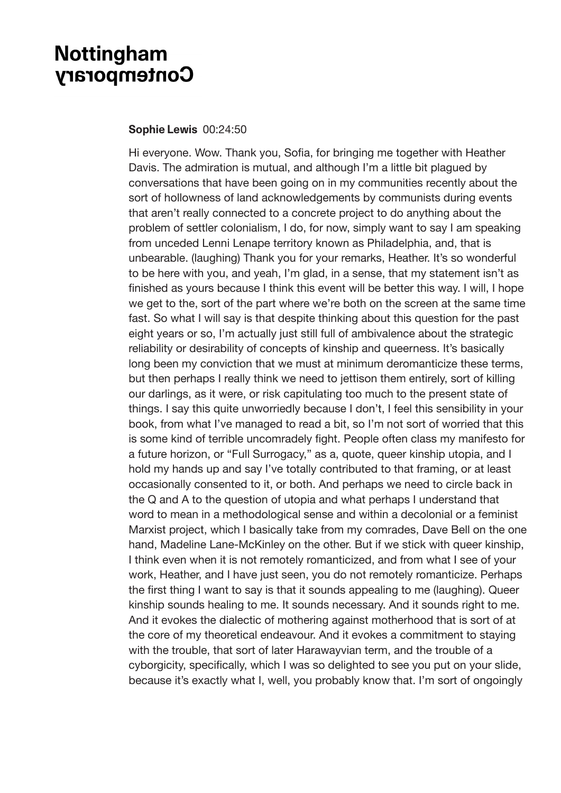#### **Sophie Lewis** 00:24:50

Hi everyone. Wow. Thank you, Sofia, for bringing me together with Heather Davis. The admiration is mutual, and although I'm a little bit plagued by conversations that have been going on in my communities recently about the sort of hollowness of land acknowledgements by communists during events that aren't really connected to a concrete project to do anything about the problem of settler colonialism, I do, for now, simply want to say I am speaking from unceded Lenni Lenape territory known as Philadelphia, and, that is unbearable. (laughing) Thank you for your remarks, Heather. It's so wonderful to be here with you, and yeah, I'm glad, in a sense, that my statement isn't as finished as yours because I think this event will be better this way. I will, I hope we get to the, sort of the part where we're both on the screen at the same time fast. So what I will say is that despite thinking about this question for the past eight years or so, I'm actually just still full of ambivalence about the strategic reliability or desirability of concepts of kinship and queerness. It's basically long been my conviction that we must at minimum deromanticize these terms, but then perhaps I really think we need to jettison them entirely, sort of killing our darlings, as it were, or risk capitulating too much to the present state of things. I say this quite unworriedly because I don't, I feel this sensibility in your book, from what I've managed to read a bit, so I'm not sort of worried that this is some kind of terrible uncomradely fight. People often class my manifesto for a future horizon, or "Full Surrogacy," as a, quote, queer kinship utopia, and I hold my hands up and say I've totally contributed to that framing, or at least occasionally consented to it, or both. And perhaps we need to circle back in the Q and A to the question of utopia and what perhaps I understand that word to mean in a methodological sense and within a decolonial or a feminist Marxist project, which I basically take from my comrades, Dave Bell on the one hand, Madeline Lane-McKinley on the other. But if we stick with queer kinship, I think even when it is not remotely romanticized, and from what I see of your work, Heather, and I have just seen, you do not remotely romanticize. Perhaps the first thing I want to say is that it sounds appealing to me (laughing). Queer kinship sounds healing to me. It sounds necessary. And it sounds right to me. And it evokes the dialectic of mothering against motherhood that is sort of at the core of my theoretical endeavour. And it evokes a commitment to staying with the trouble, that sort of later Harawayvian term, and the trouble of a cyborgicity, specifically, which I was so delighted to see you put on your slide, because it's exactly what I, well, you probably know that. I'm sort of ongoingly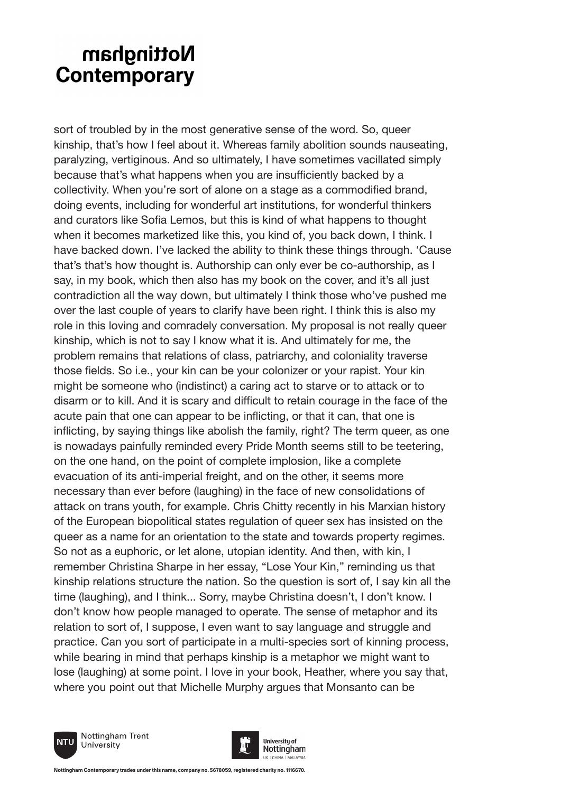sort of troubled by in the most generative sense of the word. So, queer kinship, that's how I feel about it. Whereas family abolition sounds nauseating, paralyzing, vertiginous. And so ultimately, I have sometimes vacillated simply because that's what happens when you are insufficiently backed by a collectivity. When you're sort of alone on a stage as a commodified brand, doing events, including for wonderful art institutions, for wonderful thinkers and curators like Sofia Lemos, but this is kind of what happens to thought when it becomes marketized like this, you kind of, you back down, I think. I have backed down. I've lacked the ability to think these things through. 'Cause that's that's how thought is. Authorship can only ever be co-authorship, as I say, in my book, which then also has my book on the cover, and it's all just contradiction all the way down, but ultimately I think those who've pushed me over the last couple of years to clarify have been right. I think this is also my role in this loving and comradely conversation. My proposal is not really queer kinship, which is not to say I know what it is. And ultimately for me, the problem remains that relations of class, patriarchy, and coloniality traverse those fields. So i.e., your kin can be your colonizer or your rapist. Your kin might be someone who (indistinct) a caring act to starve or to attack or to disarm or to kill. And it is scary and difficult to retain courage in the face of the acute pain that one can appear to be inflicting, or that it can, that one is inflicting, by saying things like abolish the family, right? The term queer, as one is nowadays painfully reminded every Pride Month seems still to be teetering, on the one hand, on the point of complete implosion, like a complete evacuation of its anti-imperial freight, and on the other, it seems more necessary than ever before (laughing) in the face of new consolidations of attack on trans youth, for example. Chris Chitty recently in his Marxian history of the European biopolitical states regulation of queer sex has insisted on the queer as a name for an orientation to the state and towards property regimes. So not as a euphoric, or let alone, utopian identity. And then, with kin, I remember Christina Sharpe in her essay, "Lose Your Kin," reminding us that kinship relations structure the nation. So the question is sort of, I say kin all the time (laughing), and I think... Sorry, maybe Christina doesn't, I don't know. I don't know how people managed to operate. The sense of metaphor and its relation to sort of, I suppose, I even want to say language and struggle and practice. Can you sort of participate in a multi-species sort of kinning process, while bearing in mind that perhaps kinship is a metaphor we might want to lose (laughing) at some point. I love in your book, Heather, where you say that, where you point out that Michelle Murphy argues that Monsanto can be



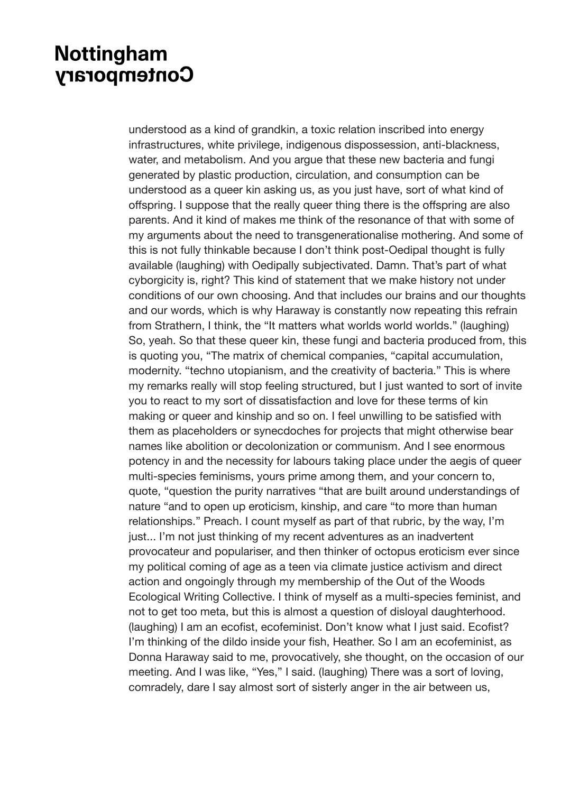understood as a kind of grandkin, a toxic relation inscribed into energy infrastructures, white privilege, indigenous dispossession, anti-blackness, water, and metabolism. And you argue that these new bacteria and fungi generated by plastic production, circulation, and consumption can be understood as a queer kin asking us, as you just have, sort of what kind of offspring. I suppose that the really queer thing there is the offspring are also parents. And it kind of makes me think of the resonance of that with some of my arguments about the need to transgenerationalise mothering. And some of this is not fully thinkable because I don't think post-Oedipal thought is fully available (laughing) with Oedipally subjectivated. Damn. That's part of what cyborgicity is, right? This kind of statement that we make history not under conditions of our own choosing. And that includes our brains and our thoughts and our words, which is why Haraway is constantly now repeating this refrain from Strathern, I think, the "It matters what worlds world worlds." (laughing) So, yeah. So that these queer kin, these fungi and bacteria produced from, this is quoting you, "The matrix of chemical companies, "capital accumulation, modernity. "techno utopianism, and the creativity of bacteria." This is where my remarks really will stop feeling structured, but I just wanted to sort of invite you to react to my sort of dissatisfaction and love for these terms of kin making or queer and kinship and so on. I feel unwilling to be satisfied with them as placeholders or synecdoches for projects that might otherwise bear names like abolition or decolonization or communism. And I see enormous potency in and the necessity for labours taking place under the aegis of queer multi-species feminisms, yours prime among them, and your concern to, quote, "question the purity narratives "that are built around understandings of nature "and to open up eroticism, kinship, and care "to more than human relationships." Preach. I count myself as part of that rubric, by the way, I'm just... I'm not just thinking of my recent adventures as an inadvertent provocateur and populariser, and then thinker of octopus eroticism ever since my political coming of age as a teen via climate justice activism and direct action and ongoingly through my membership of the Out of the Woods Ecological Writing Collective. I think of myself as a multi-species feminist, and not to get too meta, but this is almost a question of disloyal daughterhood. (laughing) I am an ecofist, ecofeminist. Don't know what I just said. Ecofist? I'm thinking of the dildo inside your fish, Heather. So I am an ecofeminist, as Donna Haraway said to me, provocatively, she thought, on the occasion of our meeting. And I was like, "Yes," I said. (laughing) There was a sort of loving, comradely, dare I say almost sort of sisterly anger in the air between us,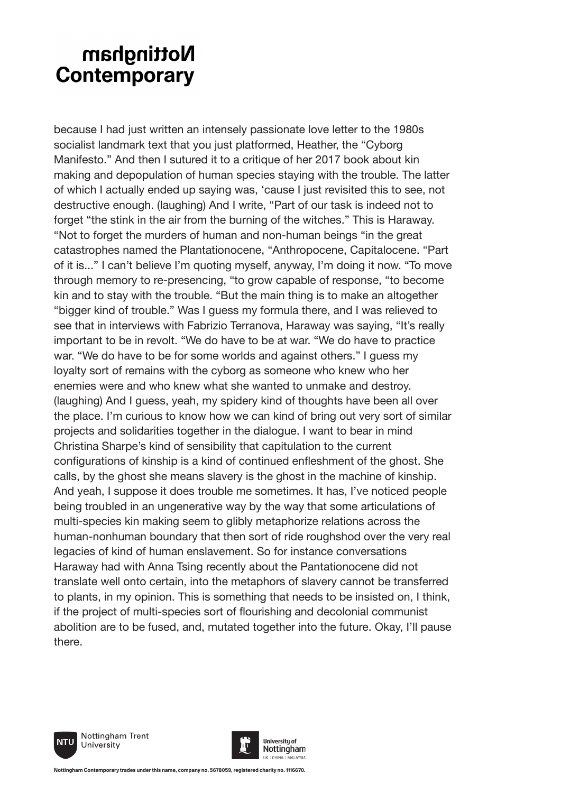because I had just written an intensely passionate love letter to the 1980s socialist landmark text that you just platformed, Heather, the "Cyborg Manifesto." And then I sutured it to a critique of her 2017 book about kin making and depopulation of human species staying with the trouble. The latter of which I actually ended up saying was, 'cause I just revisited this to see, not destructive enough. (laughing) And I write, "Part of our task is indeed not to forget "the stink in the air from the burning of the witches." This is Haraway. "Not to forget the murders of human and non-human beings "in the great catastrophes named the Plantationocene, "Anthropocene, Capitalocene. "Part of it is..." I can't believe I'm quoting myself, anyway, I'm doing it now. "To move through memory to re-presencing, "to grow capable of response, "to become kin and to stay with the trouble. "But the main thing is to make an altogether "bigger kind of trouble." Was I guess my formula there, and I was relieved to see that in interviews with Fabrizio Terranova, Haraway was saying, "It's really important to be in revolt. "We do have to be at war. "We do have to practice war. "We do have to be for some worlds and against others." I guess my loyalty sort of remains with the cyborg as someone who knew who her enemies were and who knew what she wanted to unmake and destroy. (laughing) And I guess, yeah, my spidery kind of thoughts have been all over the place. I'm curious to know how we can kind of bring out very sort of similar projects and solidarities together in the dialogue. I want to bear in mind Christina Sharpe's kind of sensibility that capitulation to the current configurations of kinship is a kind of continued enfleshment of the ghost. She calls, by the ghost she means slavery is the ghost in the machine of kinship. And yeah, I suppose it does trouble me sometimes. It has, I've noticed people being troubled in an ungenerative way by the way that some articulations of multi-species kin making seem to glibly metaphorize relations across the human-nonhuman boundary that then sort of ride roughshod over the very real legacies of kind of human enslavement. So for instance conversations Haraway had with Anna Tsing recently about the Pantationocene did not translate well onto certain, into the metaphors of slavery cannot be transferred to plants, in my opinion. This is something that needs to be insisted on, I think, if the project of multi-species sort of flourishing and decolonial communist abolition are to be fused, and, mutated together into the future. Okay, I'll pause there.



Nottingham Trent University

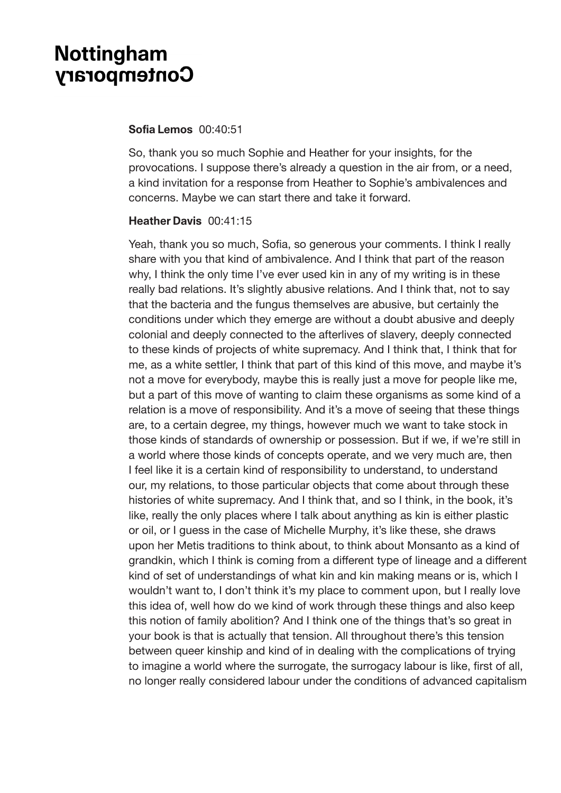#### **Sofia Lemos** 00:40:51

So, thank you so much Sophie and Heather for your insights, for the provocations. I suppose there's already a question in the air from, or a need, a kind invitation for a response from Heather to Sophie's ambivalences and concerns. Maybe we can start there and take it forward.

#### **Heather Davis** 00:41:15

Yeah, thank you so much, Sofia, so generous your comments. I think I really share with you that kind of ambivalence. And I think that part of the reason why, I think the only time I've ever used kin in any of my writing is in these really bad relations. It's slightly abusive relations. And I think that, not to say that the bacteria and the fungus themselves are abusive, but certainly the conditions under which they emerge are without a doubt abusive and deeply colonial and deeply connected to the afterlives of slavery, deeply connected to these kinds of projects of white supremacy. And I think that, I think that for me, as a white settler, I think that part of this kind of this move, and maybe it's not a move for everybody, maybe this is really just a move for people like me, but a part of this move of wanting to claim these organisms as some kind of a relation is a move of responsibility. And it's a move of seeing that these things are, to a certain degree, my things, however much we want to take stock in those kinds of standards of ownership or possession. But if we, if we're still in a world where those kinds of concepts operate, and we very much are, then I feel like it is a certain kind of responsibility to understand, to understand our, my relations, to those particular objects that come about through these histories of white supremacy. And I think that, and so I think, in the book, it's like, really the only places where I talk about anything as kin is either plastic or oil, or I guess in the case of Michelle Murphy, it's like these, she draws upon her Metis traditions to think about, to think about Monsanto as a kind of grandkin, which I think is coming from a different type of lineage and a different kind of set of understandings of what kin and kin making means or is, which I wouldn't want to, I don't think it's my place to comment upon, but I really love this idea of, well how do we kind of work through these things and also keep this notion of family abolition? And I think one of the things that's so great in your book is that is actually that tension. All throughout there's this tension between queer kinship and kind of in dealing with the complications of trying to imagine a world where the surrogate, the surrogacy labour is like, first of all, no longer really considered labour under the conditions of advanced capitalism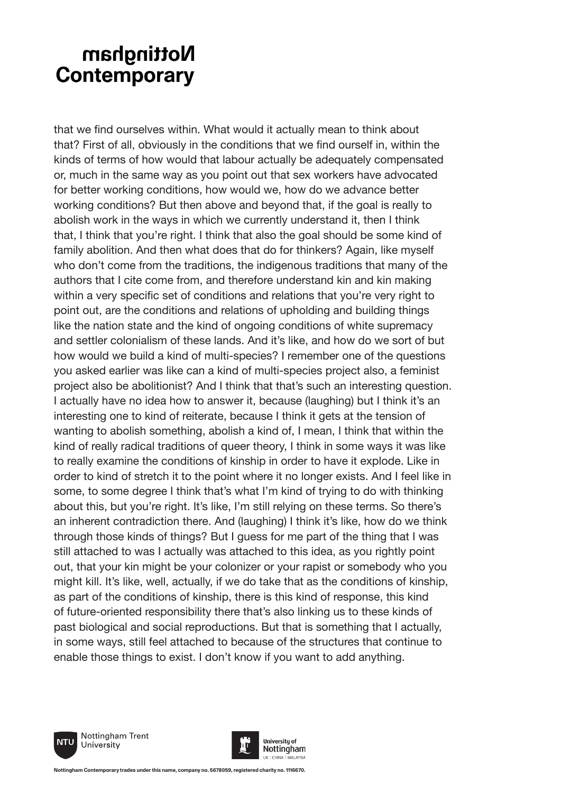that we find ourselves within. What would it actually mean to think about that? First of all, obviously in the conditions that we find ourself in, within the kinds of terms of how would that labour actually be adequately compensated or, much in the same way as you point out that sex workers have advocated for better working conditions, how would we, how do we advance better working conditions? But then above and beyond that, if the goal is really to abolish work in the ways in which we currently understand it, then I think that, I think that you're right. I think that also the goal should be some kind of family abolition. And then what does that do for thinkers? Again, like myself who don't come from the traditions, the indigenous traditions that many of the authors that I cite come from, and therefore understand kin and kin making within a very specific set of conditions and relations that you're very right to point out, are the conditions and relations of upholding and building things like the nation state and the kind of ongoing conditions of white supremacy and settler colonialism of these lands. And it's like, and how do we sort of but how would we build a kind of multi-species? I remember one of the questions you asked earlier was like can a kind of multi-species project also, a feminist project also be abolitionist? And I think that that's such an interesting question. I actually have no idea how to answer it, because (laughing) but I think it's an interesting one to kind of reiterate, because I think it gets at the tension of wanting to abolish something, abolish a kind of, I mean, I think that within the kind of really radical traditions of queer theory, I think in some ways it was like to really examine the conditions of kinship in order to have it explode. Like in order to kind of stretch it to the point where it no longer exists. And I feel like in some, to some degree I think that's what I'm kind of trying to do with thinking about this, but you're right. It's like, I'm still relying on these terms. So there's an inherent contradiction there. And (laughing) I think it's like, how do we think through those kinds of things? But I guess for me part of the thing that I was still attached to was I actually was attached to this idea, as you rightly point out, that your kin might be your colonizer or your rapist or somebody who you might kill. It's like, well, actually, if we do take that as the conditions of kinship, as part of the conditions of kinship, there is this kind of response, this kind of future-oriented responsibility there that's also linking us to these kinds of past biological and social reproductions. But that is something that I actually, in some ways, still feel attached to because of the structures that continue to enable those things to exist. I don't know if you want to add anything.



Nottingham Trent University

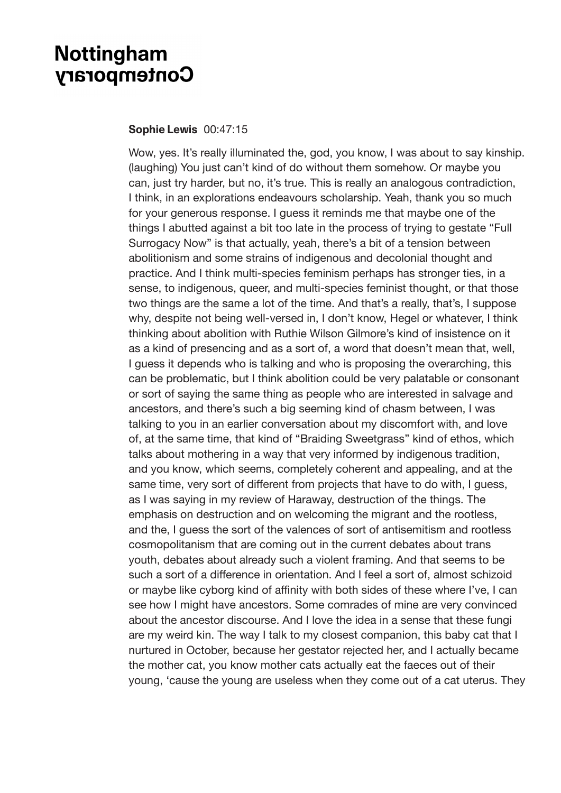#### **Sophie Lewis** 00:47:15

Wow, yes. It's really illuminated the, god, you know, I was about to say kinship. (laughing) You just can't kind of do without them somehow. Or maybe you can, just try harder, but no, it's true. This is really an analogous contradiction, I think, in an explorations endeavours scholarship. Yeah, thank you so much for your generous response. I guess it reminds me that maybe one of the things I abutted against a bit too late in the process of trying to gestate "Full Surrogacy Now" is that actually, yeah, there's a bit of a tension between abolitionism and some strains of indigenous and decolonial thought and practice. And I think multi-species feminism perhaps has stronger ties, in a sense, to indigenous, queer, and multi-species feminist thought, or that those two things are the same a lot of the time. And that's a really, that's, I suppose why, despite not being well-versed in, I don't know, Hegel or whatever, I think thinking about abolition with Ruthie Wilson Gilmore's kind of insistence on it as a kind of presencing and as a sort of, a word that doesn't mean that, well, I guess it depends who is talking and who is proposing the overarching, this can be problematic, but I think abolition could be very palatable or consonant or sort of saying the same thing as people who are interested in salvage and ancestors, and there's such a big seeming kind of chasm between, I was talking to you in an earlier conversation about my discomfort with, and love of, at the same time, that kind of "Braiding Sweetgrass" kind of ethos, which talks about mothering in a way that very informed by indigenous tradition, and you know, which seems, completely coherent and appealing, and at the same time, very sort of different from projects that have to do with, I guess, as I was saying in my review of Haraway, destruction of the things. The emphasis on destruction and on welcoming the migrant and the rootless, and the, I guess the sort of the valences of sort of antisemitism and rootless cosmopolitanism that are coming out in the current debates about trans youth, debates about already such a violent framing. And that seems to be such a sort of a difference in orientation. And I feel a sort of, almost schizoid or maybe like cyborg kind of affinity with both sides of these where I've, I can see how I might have ancestors. Some comrades of mine are very convinced about the ancestor discourse. And I love the idea in a sense that these fungi are my weird kin. The way I talk to my closest companion, this baby cat that I nurtured in October, because her gestator rejected her, and I actually became the mother cat, you know mother cats actually eat the faeces out of their young, 'cause the young are useless when they come out of a cat uterus. They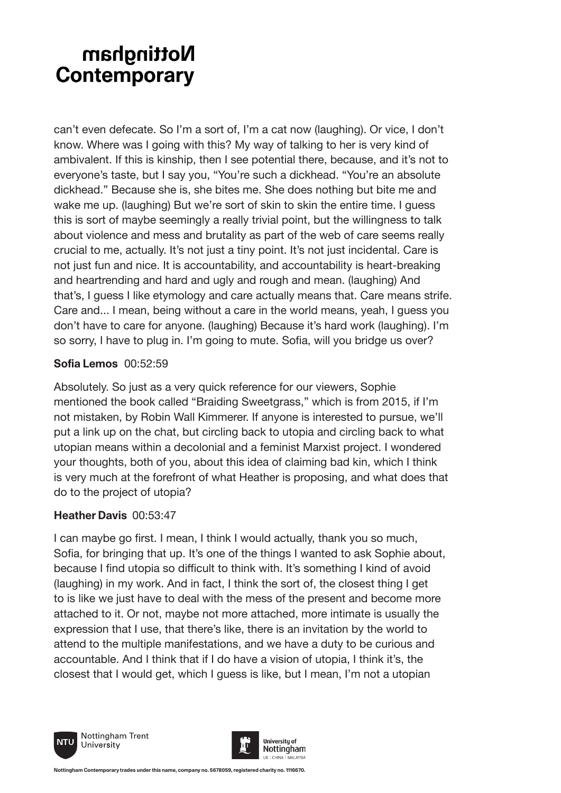can't even defecate. So I'm a sort of, I'm a cat now (laughing). Or vice, I don't know. Where was I going with this? My way of talking to her is very kind of ambivalent. If this is kinship, then I see potential there, because, and it's not to everyone's taste, but I say you, "You're such a dickhead. "You're an absolute dickhead." Because she is, she bites me. She does nothing but bite me and wake me up. (laughing) But we're sort of skin to skin the entire time. I quess this is sort of maybe seemingly a really trivial point, but the willingness to talk about violence and mess and brutality as part of the web of care seems really crucial to me, actually. It's not just a tiny point. It's not just incidental. Care is not just fun and nice. It is accountability, and accountability is heart-breaking and heartrending and hard and ugly and rough and mean. (laughing) And that's, I guess I like etymology and care actually means that. Care means strife. Care and... I mean, being without a care in the world means, yeah, I guess you don't have to care for anyone. (laughing) Because it's hard work (laughing). I'm so sorry, I have to plug in. I'm going to mute. Sofia, will you bridge us over?

#### **Sofia Lemos** 00:52:59

Absolutely. So just as a very quick reference for our viewers, Sophie mentioned the book called "Braiding Sweetgrass," which is from 2015, if I'm not mistaken, by Robin Wall Kimmerer. If anyone is interested to pursue, we'll put a link up on the chat, but circling back to utopia and circling back to what utopian means within a decolonial and a feminist Marxist project. I wondered your thoughts, both of you, about this idea of claiming bad kin, which I think is very much at the forefront of what Heather is proposing, and what does that do to the project of utopia?

#### **Heather Davis** 00:53:47

I can maybe go first. I mean, I think I would actually, thank you so much, Sofia, for bringing that up. It's one of the things I wanted to ask Sophie about, because I find utopia so difficult to think with. It's something I kind of avoid (laughing) in my work. And in fact, I think the sort of, the closest thing I get to is like we just have to deal with the mess of the present and become more attached to it. Or not, maybe not more attached, more intimate is usually the expression that I use, that there's like, there is an invitation by the world to attend to the multiple manifestations, and we have a duty to be curious and accountable. And I think that if I do have a vision of utopia, I think it's, the closest that I would get, which I guess is like, but I mean, I'm not a utopian



Nottingham Trent University

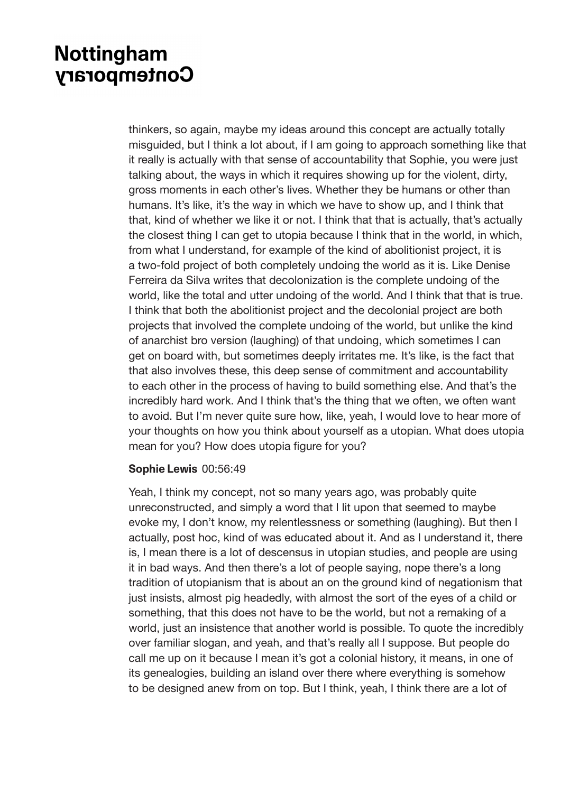thinkers, so again, maybe my ideas around this concept are actually totally misguided, but I think a lot about, if I am going to approach something like that it really is actually with that sense of accountability that Sophie, you were just talking about, the ways in which it requires showing up for the violent, dirty, gross moments in each other's lives. Whether they be humans or other than humans. It's like, it's the way in which we have to show up, and I think that that, kind of whether we like it or not. I think that that is actually, that's actually the closest thing I can get to utopia because I think that in the world, in which, from what I understand, for example of the kind of abolitionist project, it is a two-fold project of both completely undoing the world as it is. Like Denise Ferreira da Silva writes that decolonization is the complete undoing of the world, like the total and utter undoing of the world. And I think that that is true. I think that both the abolitionist project and the decolonial project are both projects that involved the complete undoing of the world, but unlike the kind of anarchist bro version (laughing) of that undoing, which sometimes I can get on board with, but sometimes deeply irritates me. It's like, is the fact that that also involves these, this deep sense of commitment and accountability to each other in the process of having to build something else. And that's the incredibly hard work. And I think that's the thing that we often, we often want to avoid. But I'm never quite sure how, like, yeah, I would love to hear more of your thoughts on how you think about yourself as a utopian. What does utopia mean for you? How does utopia figure for you?

#### **Sophie Lewis** 00:56:49

Yeah, I think my concept, not so many years ago, was probably quite unreconstructed, and simply a word that I lit upon that seemed to maybe evoke my, I don't know, my relentlessness or something (laughing). But then I actually, post hoc, kind of was educated about it. And as I understand it, there is, I mean there is a lot of descensus in utopian studies, and people are using it in bad ways. And then there's a lot of people saying, nope there's a long tradition of utopianism that is about an on the ground kind of negationism that just insists, almost pig headedly, with almost the sort of the eyes of a child or something, that this does not have to be the world, but not a remaking of a world, just an insistence that another world is possible. To quote the incredibly over familiar slogan, and yeah, and that's really all I suppose. But people do call me up on it because I mean it's got a colonial history, it means, in one of its genealogies, building an island over there where everything is somehow to be designed anew from on top. But I think, yeah, I think there are a lot of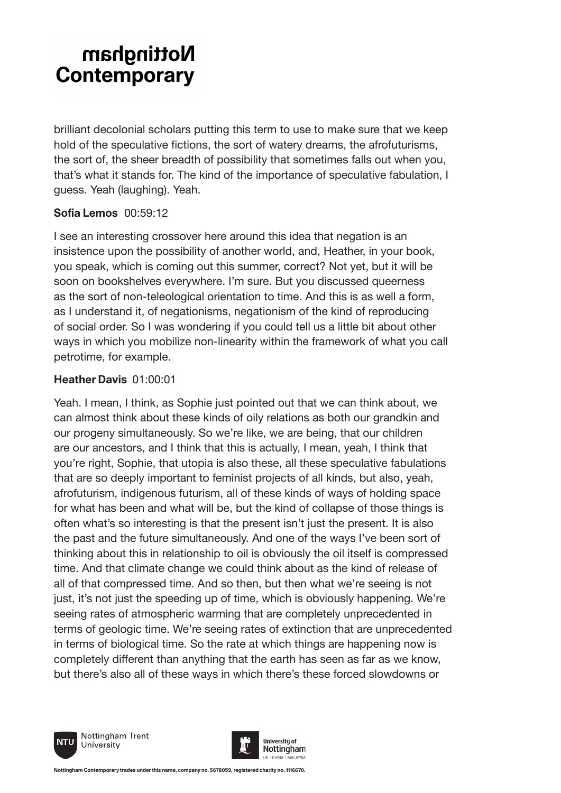brilliant decolonial scholars putting this term to use to make sure that we keep hold of the speculative fictions, the sort of watery dreams, the afrofuturisms, the sort of, the sheer breadth of possibility that sometimes falls out when you, that's what it stands for. The kind of the importance of speculative fabulation, I guess. Yeah (laughing). Yeah.

#### **Sofia Lemos** 00:59:12

I see an interesting crossover here around this idea that negation is an insistence upon the possibility of another world, and, Heather, in your book, you speak, which is coming out this summer, correct? Not yet, but it will be soon on bookshelves everywhere. I'm sure. But you discussed queerness as the sort of non-teleological orientation to time. And this is as well a form, as I understand it, of negationisms, negationism of the kind of reproducing of social order. So I was wondering if you could tell us a little bit about other ways in which you mobilize non-linearity within the framework of what you call petrotime, for example.

#### **Heather Davis** 01:00:01

Yeah. I mean, I think, as Sophie just pointed out that we can think about, we can almost think about these kinds of oily relations as both our grandkin and our progeny simultaneously. So we're like, we are being, that our children are our ancestors, and I think that this is actually, I mean, yeah, I think that you're right, Sophie, that utopia is also these, all these speculative fabulations that are so deeply important to feminist projects of all kinds, but also, yeah, afrofuturism, indigenous futurism, all of these kinds of ways of holding space for what has been and what will be, but the kind of collapse of those things is often what's so interesting is that the present isn't just the present. It is also the past and the future simultaneously. And one of the ways I've been sort of thinking about this in relationship to oil is obviously the oil itself is compressed time. And that climate change we could think about as the kind of release of all of that compressed time. And so then, but then what we're seeing is not just, it's not just the speeding up of time, which is obviously happening. We're seeing rates of atmospheric warming that are completely unprecedented in terms of geologic time. We're seeing rates of extinction that are unprecedented in terms of biological time. So the rate at which things are happening now is completely different than anything that the earth has seen as far as we know, but there's also all of these ways in which there's these forced slowdowns or



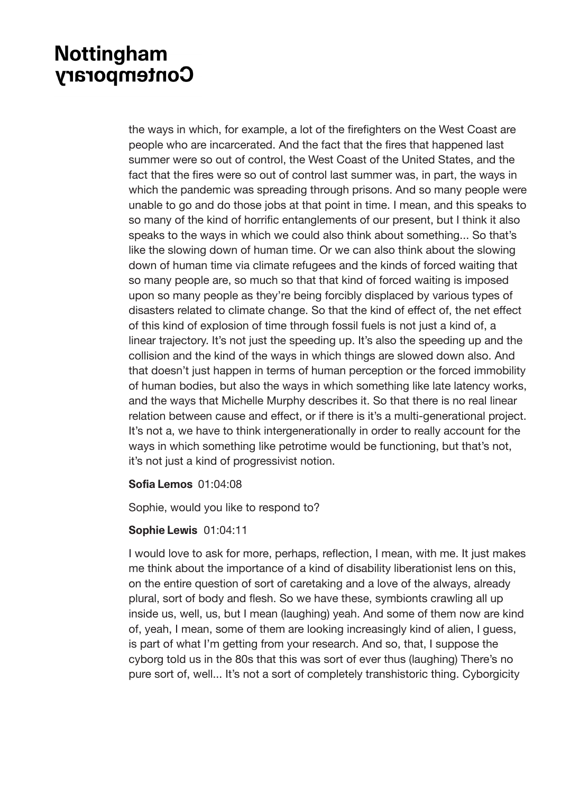the ways in which, for example, a lot of the firefighters on the West Coast are people who are incarcerated. And the fact that the fires that happened last summer were so out of control, the West Coast of the United States, and the fact that the fires were so out of control last summer was, in part, the ways in which the pandemic was spreading through prisons. And so many people were unable to go and do those jobs at that point in time. I mean, and this speaks to so many of the kind of horrific entanglements of our present, but I think it also speaks to the ways in which we could also think about something... So that's like the slowing down of human time. Or we can also think about the slowing down of human time via climate refugees and the kinds of forced waiting that so many people are, so much so that that kind of forced waiting is imposed upon so many people as they're being forcibly displaced by various types of disasters related to climate change. So that the kind of effect of, the net effect of this kind of explosion of time through fossil fuels is not just a kind of, a linear trajectory. It's not just the speeding up. It's also the speeding up and the collision and the kind of the ways in which things are slowed down also. And that doesn't just happen in terms of human perception or the forced immobility of human bodies, but also the ways in which something like late latency works, and the ways that Michelle Murphy describes it. So that there is no real linear relation between cause and effect, or if there is it's a multi-generational project. It's not a, we have to think intergenerationally in order to really account for the ways in which something like petrotime would be functioning, but that's not, it's not just a kind of progressivist notion.

#### **Sofia Lemos** 01:04:08

Sophie, would you like to respond to?

#### **Sophie Lewis** 01:04:11

I would love to ask for more, perhaps, reflection, I mean, with me. It just makes me think about the importance of a kind of disability liberationist lens on this, on the entire question of sort of caretaking and a love of the always, already plural, sort of body and flesh. So we have these, symbionts crawling all up inside us, well, us, but I mean (laughing) yeah. And some of them now are kind of, yeah, I mean, some of them are looking increasingly kind of alien, I guess, is part of what I'm getting from your research. And so, that, I suppose the cyborg told us in the 80s that this was sort of ever thus (laughing) There's no pure sort of, well... It's not a sort of completely transhistoric thing. Cyborgicity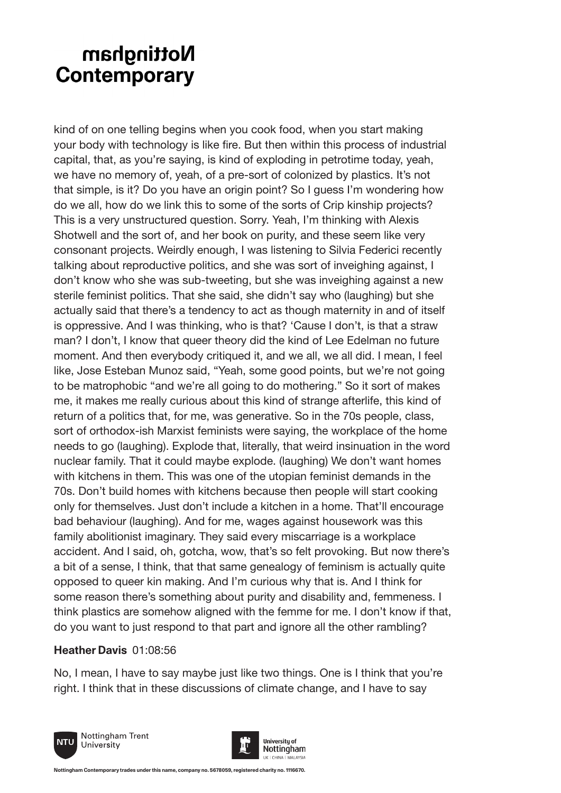kind of on one telling begins when you cook food, when you start making your body with technology is like fire. But then within this process of industrial capital, that, as you're saying, is kind of exploding in petrotime today, yeah, we have no memory of, yeah, of a pre-sort of colonized by plastics. It's not that simple, is it? Do you have an origin point? So I guess I'm wondering how do we all, how do we link this to some of the sorts of Crip kinship projects? This is a very unstructured question. Sorry. Yeah, I'm thinking with Alexis Shotwell and the sort of, and her book on purity, and these seem like very consonant projects. Weirdly enough, I was listening to Silvia Federici recently talking about reproductive politics, and she was sort of inveighing against, I don't know who she was sub-tweeting, but she was inveighing against a new sterile feminist politics. That she said, she didn't say who (laughing) but she actually said that there's a tendency to act as though maternity in and of itself is oppressive. And I was thinking, who is that? 'Cause I don't, is that a straw man? I don't, I know that queer theory did the kind of Lee Edelman no future moment. And then everybody critiqued it, and we all, we all did. I mean, I feel like, Jose Esteban Munoz said, "Yeah, some good points, but we're not going to be matrophobic "and we're all going to do mothering." So it sort of makes me, it makes me really curious about this kind of strange afterlife, this kind of return of a politics that, for me, was generative. So in the 70s people, class, sort of orthodox-ish Marxist feminists were saying, the workplace of the home needs to go (laughing). Explode that, literally, that weird insinuation in the word nuclear family. That it could maybe explode. (laughing) We don't want homes with kitchens in them. This was one of the utopian feminist demands in the 70s. Don't build homes with kitchens because then people will start cooking only for themselves. Just don't include a kitchen in a home. That'll encourage bad behaviour (laughing). And for me, wages against housework was this family abolitionist imaginary. They said every miscarriage is a workplace accident. And I said, oh, gotcha, wow, that's so felt provoking. But now there's a bit of a sense, I think, that that same genealogy of feminism is actually quite opposed to queer kin making. And I'm curious why that is. And I think for some reason there's something about purity and disability and, femmeness. I think plastics are somehow aligned with the femme for me. I don't know if that, do you want to just respond to that part and ignore all the other rambling?

#### **Heather Davis** 01:08:56

No, I mean, I have to say maybe just like two things. One is I think that you're right. I think that in these discussions of climate change, and I have to say



Nottingham Trent University



**Nottingham Contemporary trades under this name, company no. 5678059, registered charity no. 1116670.**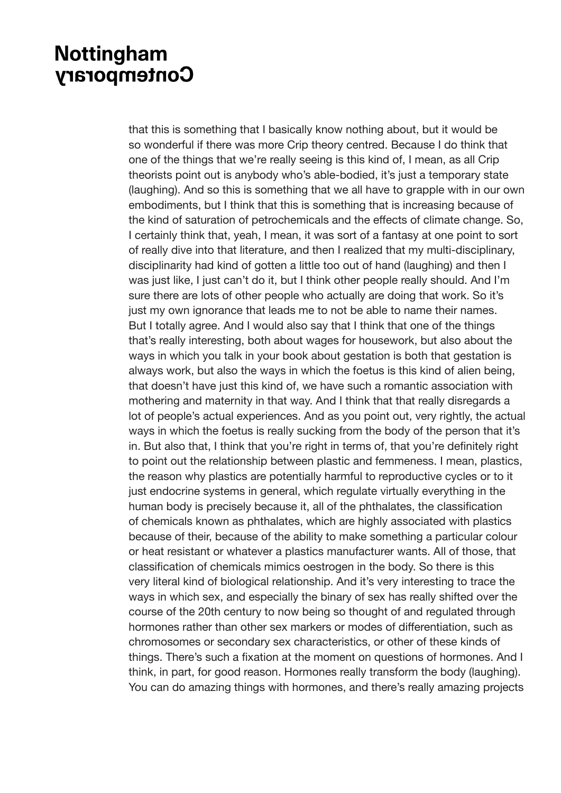that this is something that I basically know nothing about, but it would be so wonderful if there was more Crip theory centred. Because I do think that one of the things that we're really seeing is this kind of, I mean, as all Crip theorists point out is anybody who's able-bodied, it's just a temporary state (laughing). And so this is something that we all have to grapple with in our own embodiments, but I think that this is something that is increasing because of the kind of saturation of petrochemicals and the effects of climate change. So, I certainly think that, yeah, I mean, it was sort of a fantasy at one point to sort of really dive into that literature, and then I realized that my multi-disciplinary, disciplinarity had kind of gotten a little too out of hand (laughing) and then I was just like, I just can't do it, but I think other people really should. And I'm sure there are lots of other people who actually are doing that work. So it's just my own ignorance that leads me to not be able to name their names. But I totally agree. And I would also say that I think that one of the things that's really interesting, both about wages for housework, but also about the ways in which you talk in your book about gestation is both that gestation is always work, but also the ways in which the foetus is this kind of alien being, that doesn't have just this kind of, we have such a romantic association with mothering and maternity in that way. And I think that that really disregards a lot of people's actual experiences. And as you point out, very rightly, the actual ways in which the foetus is really sucking from the body of the person that it's in. But also that, I think that you're right in terms of, that you're definitely right to point out the relationship between plastic and femmeness. I mean, plastics, the reason why plastics are potentially harmful to reproductive cycles or to it just endocrine systems in general, which regulate virtually everything in the human body is precisely because it, all of the phthalates, the classification of chemicals known as phthalates, which are highly associated with plastics because of their, because of the ability to make something a particular colour or heat resistant or whatever a plastics manufacturer wants. All of those, that classification of chemicals mimics oestrogen in the body. So there is this very literal kind of biological relationship. And it's very interesting to trace the ways in which sex, and especially the binary of sex has really shifted over the course of the 20th century to now being so thought of and regulated through hormones rather than other sex markers or modes of differentiation, such as chromosomes or secondary sex characteristics, or other of these kinds of things. There's such a fixation at the moment on questions of hormones. And I think, in part, for good reason. Hormones really transform the body (laughing). You can do amazing things with hormones, and there's really amazing projects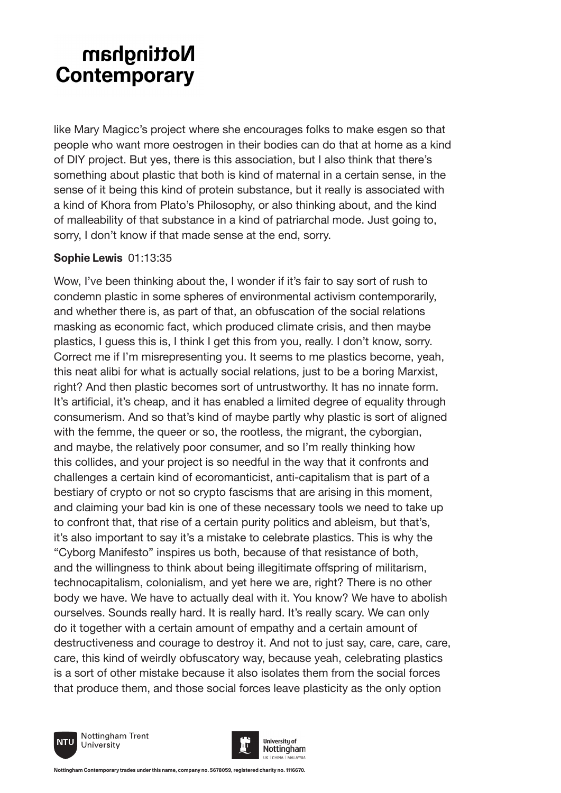like Mary Magicc's project where she encourages folks to make esgen so that people who want more oestrogen in their bodies can do that at home as a kind of DIY project. But yes, there is this association, but I also think that there's something about plastic that both is kind of maternal in a certain sense, in the sense of it being this kind of protein substance, but it really is associated with a kind of Khora from Plato's Philosophy, or also thinking about, and the kind of malleability of that substance in a kind of patriarchal mode. Just going to, sorry, I don't know if that made sense at the end, sorry.

#### **Sophie Lewis** 01:13:35

Wow, I've been thinking about the, I wonder if it's fair to say sort of rush to condemn plastic in some spheres of environmental activism contemporarily, and whether there is, as part of that, an obfuscation of the social relations masking as economic fact, which produced climate crisis, and then maybe plastics, I guess this is, I think I get this from you, really. I don't know, sorry. Correct me if I'm misrepresenting you. It seems to me plastics become, yeah, this neat alibi for what is actually social relations, just to be a boring Marxist, right? And then plastic becomes sort of untrustworthy. It has no innate form. It's artificial, it's cheap, and it has enabled a limited degree of equality through consumerism. And so that's kind of maybe partly why plastic is sort of aligned with the femme, the queer or so, the rootless, the migrant, the cyborgian, and maybe, the relatively poor consumer, and so I'm really thinking how this collides, and your project is so needful in the way that it confronts and challenges a certain kind of ecoromanticist, anti-capitalism that is part of a bestiary of crypto or not so crypto fascisms that are arising in this moment, and claiming your bad kin is one of these necessary tools we need to take up to confront that, that rise of a certain purity politics and ableism, but that's, it's also important to say it's a mistake to celebrate plastics. This is why the "Cyborg Manifesto" inspires us both, because of that resistance of both, and the willingness to think about being illegitimate offspring of militarism, technocapitalism, colonialism, and yet here we are, right? There is no other body we have. We have to actually deal with it. You know? We have to abolish ourselves. Sounds really hard. It is really hard. It's really scary. We can only do it together with a certain amount of empathy and a certain amount of destructiveness and courage to destroy it. And not to just say, care, care, care, care, this kind of weirdly obfuscatory way, because yeah, celebrating plastics is a sort of other mistake because it also isolates them from the social forces that produce them, and those social forces leave plasticity as the only option



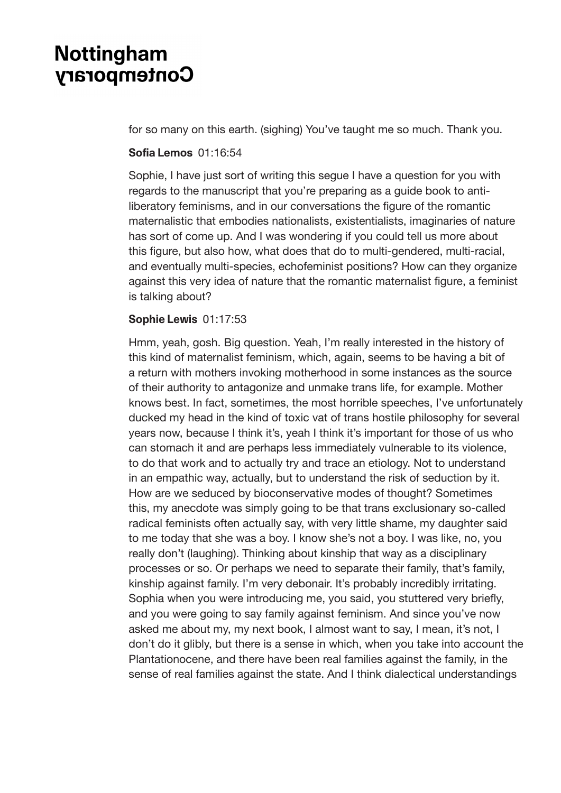for so many on this earth. (sighing) You've taught me so much. Thank you.

#### **Sofia Lemos** 01:16:54

Sophie, I have just sort of writing this segue I have a question for you with regards to the manuscript that you're preparing as a guide book to antiliberatory feminisms, and in our conversations the figure of the romantic maternalistic that embodies nationalists, existentialists, imaginaries of nature has sort of come up. And I was wondering if you could tell us more about this figure, but also how, what does that do to multi-gendered, multi-racial, and eventually multi-species, echofeminist positions? How can they organize against this very idea of nature that the romantic maternalist figure, a feminist is talking about?

#### **Sophie Lewis** 01:17:53

Hmm, yeah, gosh. Big question. Yeah, I'm really interested in the history of this kind of maternalist feminism, which, again, seems to be having a bit of a return with mothers invoking motherhood in some instances as the source of their authority to antagonize and unmake trans life, for example. Mother knows best. In fact, sometimes, the most horrible speeches, I've unfortunately ducked my head in the kind of toxic vat of trans hostile philosophy for several years now, because I think it's, yeah I think it's important for those of us who can stomach it and are perhaps less immediately vulnerable to its violence, to do that work and to actually try and trace an etiology. Not to understand in an empathic way, actually, but to understand the risk of seduction by it. How are we seduced by bioconservative modes of thought? Sometimes this, my anecdote was simply going to be that trans exclusionary so-called radical feminists often actually say, with very little shame, my daughter said to me today that she was a boy. I know she's not a boy. I was like, no, you really don't (laughing). Thinking about kinship that way as a disciplinary processes or so. Or perhaps we need to separate their family, that's family, kinship against family. I'm very debonair. It's probably incredibly irritating. Sophia when you were introducing me, you said, you stuttered very briefly, and you were going to say family against feminism. And since you've now asked me about my, my next book, I almost want to say, I mean, it's not, I don't do it glibly, but there is a sense in which, when you take into account the Plantationocene, and there have been real families against the family, in the sense of real families against the state. And I think dialectical understandings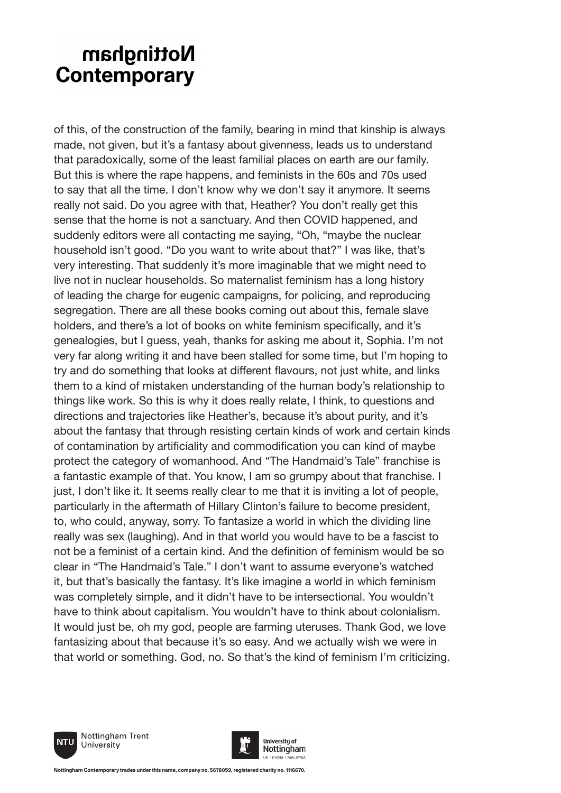of this, of the construction of the family, bearing in mind that kinship is always made, not given, but it's a fantasy about givenness, leads us to understand that paradoxically, some of the least familial places on earth are our family. But this is where the rape happens, and feminists in the 60s and 70s used to say that all the time. I don't know why we don't say it anymore. It seems really not said. Do you agree with that, Heather? You don't really get this sense that the home is not a sanctuary. And then COVID happened, and suddenly editors were all contacting me saying, "Oh, "maybe the nuclear household isn't good. "Do you want to write about that?" I was like, that's very interesting. That suddenly it's more imaginable that we might need to live not in nuclear households. So maternalist feminism has a long history of leading the charge for eugenic campaigns, for policing, and reproducing segregation. There are all these books coming out about this, female slave holders, and there's a lot of books on white feminism specifically, and it's genealogies, but I guess, yeah, thanks for asking me about it, Sophia. I'm not very far along writing it and have been stalled for some time, but I'm hoping to try and do something that looks at different flavours, not just white, and links them to a kind of mistaken understanding of the human body's relationship to things like work. So this is why it does really relate, I think, to questions and directions and trajectories like Heather's, because it's about purity, and it's about the fantasy that through resisting certain kinds of work and certain kinds of contamination by artificiality and commodification you can kind of maybe protect the category of womanhood. And "The Handmaid's Tale" franchise is a fantastic example of that. You know, I am so grumpy about that franchise. I just. I don't like it. It seems really clear to me that it is inviting a lot of people, particularly in the aftermath of Hillary Clinton's failure to become president, to, who could, anyway, sorry. To fantasize a world in which the dividing line really was sex (laughing). And in that world you would have to be a fascist to not be a feminist of a certain kind. And the definition of feminism would be so clear in "The Handmaid's Tale." I don't want to assume everyone's watched it, but that's basically the fantasy. It's like imagine a world in which feminism was completely simple, and it didn't have to be intersectional. You wouldn't have to think about capitalism. You wouldn't have to think about colonialism. It would just be, oh my god, people are farming uteruses. Thank God, we love fantasizing about that because it's so easy. And we actually wish we were in that world or something. God, no. So that's the kind of feminism I'm criticizing.





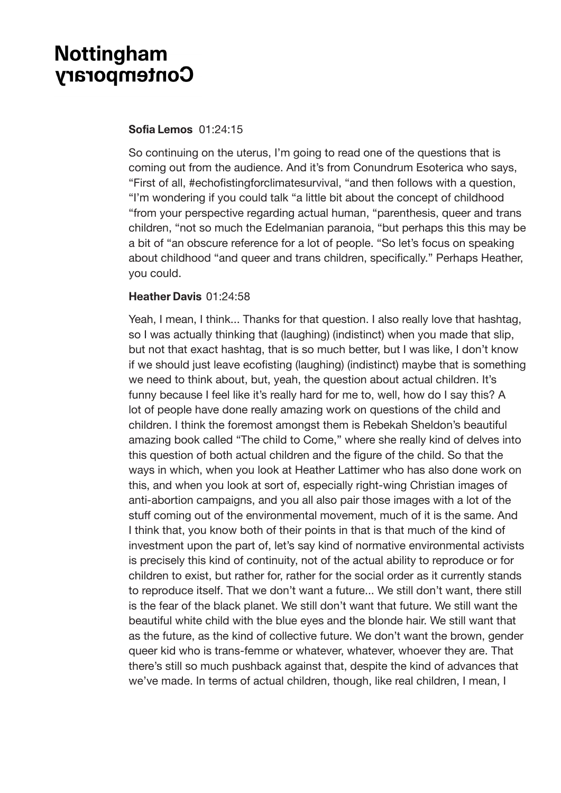#### **Sofia Lemos** 01:24:15

So continuing on the uterus, I'm going to read one of the questions that is coming out from the audience. And it's from Conundrum Esoterica who says, "First of all, #echofistingforclimatesurvival, "and then follows with a question, "I'm wondering if you could talk "a little bit about the concept of childhood "from your perspective regarding actual human, "parenthesis, queer and trans children, "not so much the Edelmanian paranoia, "but perhaps this this may be a bit of "an obscure reference for a lot of people. "So let's focus on speaking about childhood "and queer and trans children, specifically." Perhaps Heather, you could.

#### **Heather Davis** 01:24:58

Yeah, I mean, I think... Thanks for that question. I also really love that hashtag, so I was actually thinking that (laughing) (indistinct) when you made that slip, but not that exact hashtag, that is so much better, but I was like, I don't know if we should just leave ecofisting (laughing) (indistinct) maybe that is something we need to think about, but, yeah, the question about actual children. It's funny because I feel like it's really hard for me to, well, how do I say this? A lot of people have done really amazing work on questions of the child and children. I think the foremost amongst them is Rebekah Sheldon's beautiful amazing book called "The child to Come," where she really kind of delves into this question of both actual children and the figure of the child. So that the ways in which, when you look at Heather Lattimer who has also done work on this, and when you look at sort of, especially right-wing Christian images of anti-abortion campaigns, and you all also pair those images with a lot of the stuff coming out of the environmental movement, much of it is the same. And I think that, you know both of their points in that is that much of the kind of investment upon the part of, let's say kind of normative environmental activists is precisely this kind of continuity, not of the actual ability to reproduce or for children to exist, but rather for, rather for the social order as it currently stands to reproduce itself. That we don't want a future... We still don't want, there still is the fear of the black planet. We still don't want that future. We still want the beautiful white child with the blue eyes and the blonde hair. We still want that as the future, as the kind of collective future. We don't want the brown, gender queer kid who is trans-femme or whatever, whatever, whoever they are. That there's still so much pushback against that, despite the kind of advances that we've made. In terms of actual children, though, like real children, I mean, I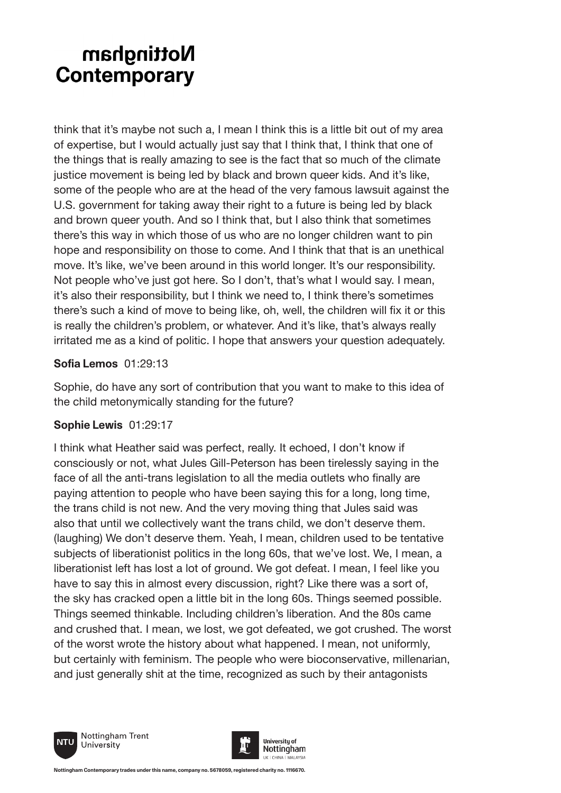think that it's maybe not such a, I mean I think this is a little bit out of my area of expertise, but I would actually just say that I think that, I think that one of the things that is really amazing to see is the fact that so much of the climate justice movement is being led by black and brown queer kids. And it's like, some of the people who are at the head of the very famous lawsuit against the U.S. government for taking away their right to a future is being led by black and brown queer youth. And so I think that, but I also think that sometimes there's this way in which those of us who are no longer children want to pin hope and responsibility on those to come. And I think that that is an unethical move. It's like, we've been around in this world longer. It's our responsibility. Not people who've just got here. So I don't, that's what I would say. I mean, it's also their responsibility, but I think we need to, I think there's sometimes there's such a kind of move to being like, oh, well, the children will fix it or this is really the children's problem, or whatever. And it's like, that's always really irritated me as a kind of politic. I hope that answers your question adequately.

#### **Sofia Lemos** 01:29:13

Sophie, do have any sort of contribution that you want to make to this idea of the child metonymically standing for the future?

#### **Sophie Lewis** 01:29:17

I think what Heather said was perfect, really. It echoed, I don't know if consciously or not, what Jules Gill-Peterson has been tirelessly saying in the face of all the anti-trans legislation to all the media outlets who finally are paying attention to people who have been saying this for a long, long time, the trans child is not new. And the very moving thing that Jules said was also that until we collectively want the trans child, we don't deserve them. (laughing) We don't deserve them. Yeah, I mean, children used to be tentative subjects of liberationist politics in the long 60s, that we've lost. We, I mean, a liberationist left has lost a lot of ground. We got defeat. I mean, I feel like you have to say this in almost every discussion, right? Like there was a sort of, the sky has cracked open a little bit in the long 60s. Things seemed possible. Things seemed thinkable. Including children's liberation. And the 80s came and crushed that. I mean, we lost, we got defeated, we got crushed. The worst of the worst wrote the history about what happened. I mean, not uniformly, but certainly with feminism. The people who were bioconservative, millenarian, and just generally shit at the time, recognized as such by their antagonists





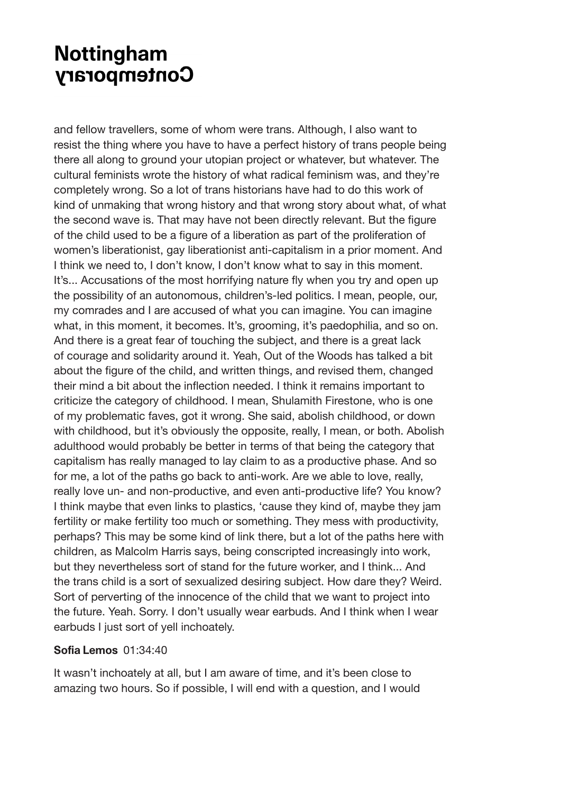and fellow travellers, some of whom were trans. Although, I also want to resist the thing where you have to have a perfect history of trans people being there all along to ground your utopian project or whatever, but whatever. The cultural feminists wrote the history of what radical feminism was, and they're completely wrong. So a lot of trans historians have had to do this work of kind of unmaking that wrong history and that wrong story about what, of what the second wave is. That may have not been directly relevant. But the figure of the child used to be a figure of a liberation as part of the proliferation of women's liberationist, gay liberationist anti-capitalism in a prior moment. And I think we need to, I don't know, I don't know what to say in this moment. It's... Accusations of the most horrifying nature fly when you try and open up the possibility of an autonomous, children's-led politics. I mean, people, our, my comrades and I are accused of what you can imagine. You can imagine what, in this moment, it becomes. It's, grooming, it's paedophilia, and so on. And there is a great fear of touching the subject, and there is a great lack of courage and solidarity around it. Yeah, Out of the Woods has talked a bit about the figure of the child, and written things, and revised them, changed their mind a bit about the inflection needed. I think it remains important to criticize the category of childhood. I mean, Shulamith Firestone, who is one of my problematic faves, got it wrong. She said, abolish childhood, or down with childhood, but it's obviously the opposite, really, I mean, or both. Abolish adulthood would probably be better in terms of that being the category that capitalism has really managed to lay claim to as a productive phase. And so for me, a lot of the paths go back to anti-work. Are we able to love, really, really love un- and non-productive, and even anti-productive life? You know? I think maybe that even links to plastics, 'cause they kind of, maybe they jam fertility or make fertility too much or something. They mess with productivity, perhaps? This may be some kind of link there, but a lot of the paths here with children, as Malcolm Harris says, being conscripted increasingly into work, but they nevertheless sort of stand for the future worker, and I think... And the trans child is a sort of sexualized desiring subject. How dare they? Weird. Sort of perverting of the innocence of the child that we want to project into the future. Yeah. Sorry. I don't usually wear earbuds. And I think when I wear earbuds I just sort of yell inchoately.

#### **Sofia Lemos** 01:34:40

It wasn't inchoately at all, but I am aware of time, and it's been close to amazing two hours. So if possible, I will end with a question, and I would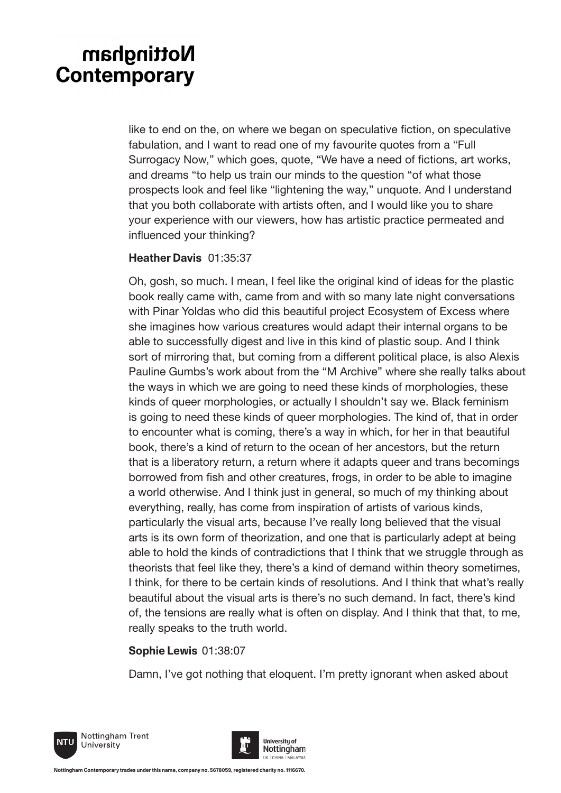like to end on the, on where we began on speculative fiction, on speculative fabulation, and I want to read one of my favourite quotes from a "Full Surrogacy Now," which goes, quote, "We have a need of fictions, art works, and dreams "to help us train our minds to the question "of what those prospects look and feel like "lightening the way," unquote. And I understand that you both collaborate with artists often, and I would like you to share your experience with our viewers, how has artistic practice permeated and influenced your thinking?

#### **Heather Davis** 01:35:37

Oh, gosh, so much. I mean, I feel like the original kind of ideas for the plastic book really came with, came from and with so many late night conversations with Pinar Yoldas who did this beautiful project Ecosystem of Excess where she imagines how various creatures would adapt their internal organs to be able to successfully digest and live in this kind of plastic soup. And I think sort of mirroring that, but coming from a different political place, is also Alexis Pauline Gumbs's work about from the "M Archive" where she really talks about the ways in which we are going to need these kinds of morphologies, these kinds of queer morphologies, or actually I shouldn't say we. Black feminism is going to need these kinds of queer morphologies. The kind of, that in order to encounter what is coming, there's a way in which, for her in that beautiful book, there's a kind of return to the ocean of her ancestors, but the return that is a liberatory return, a return where it adapts queer and trans becomings borrowed from fish and other creatures, frogs, in order to be able to imagine a world otherwise. And I think just in general, so much of my thinking about everything, really, has come from inspiration of artists of various kinds, particularly the visual arts, because I've really long believed that the visual arts is its own form of theorization, and one that is particularly adept at being able to hold the kinds of contradictions that I think that we struggle through as theorists that feel like they, there's a kind of demand within theory sometimes, I think, for there to be certain kinds of resolutions. And I think that what's really beautiful about the visual arts is there's no such demand. In fact, there's kind of, the tensions are really what is often on display. And I think that that, to me, really speaks to the truth world.

#### **Sophie Lewis** 01:38:07

Damn, I've got nothing that eloquent. I'm pretty ignorant when asked about